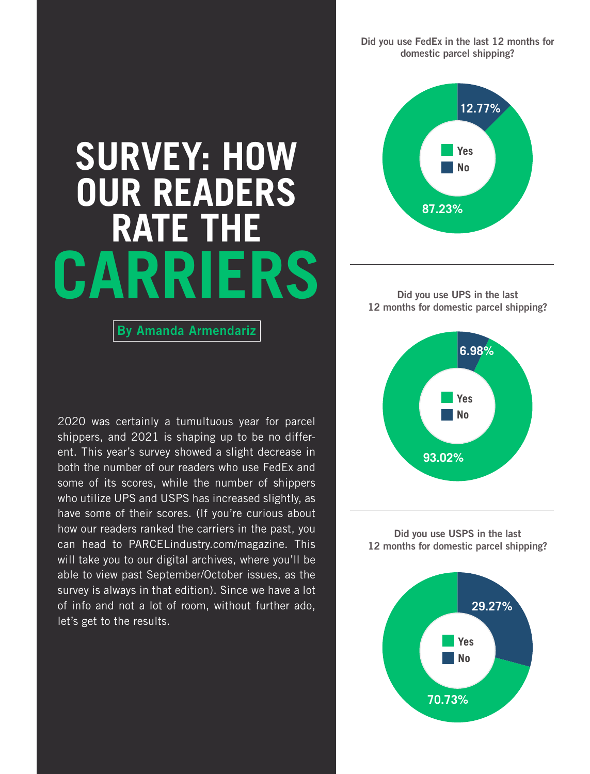Did you use FedEx in the last 12 months for domestic parcel shipping?



By Amanda Armendariz

2020 was certainly a tumultuous year for parcel shippers, and 2021 is shaping up to be no different. This year's survey showed a slight decrease in both the number of our readers who use FedEx and some of its scores, while the number of shippers who utilize UPS and USPS has increased slightly, as have some of their scores. (If you're curious about how our readers ranked the carriers in the past, you can head to PARCELindustry.com/magazine. This will take you to our digital archives, where you'll be able to view past September/October issues, as the survey is always in that edition). Since we have a lot of info and not a lot of room, without further ado, let's get to the results.



Did you use UPS in the last 12 months for domestic parcel shipping?



Did you use USPS in the last 12 months for domestic parcel shipping?

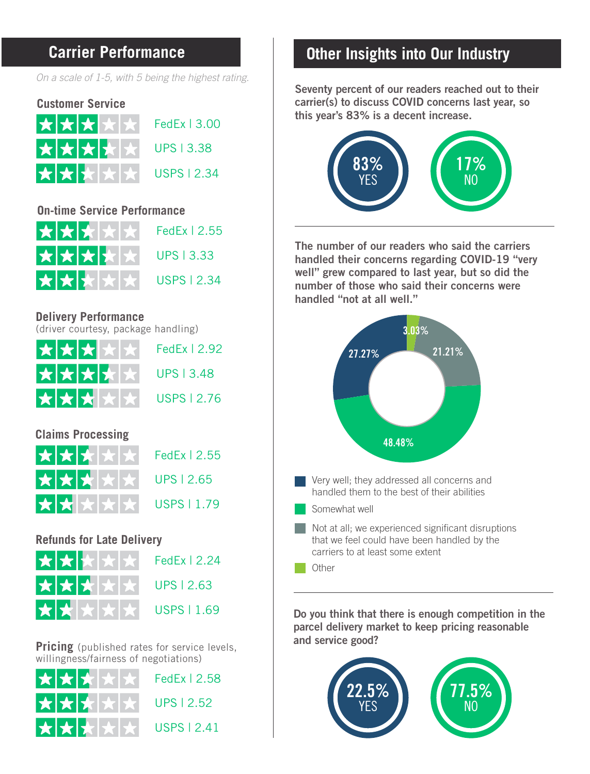# **Carrier Performance**

*On a scale of 1-5, with 5 being the highest rating.*

## **Customer Service**



UPS | 3.38 USPS | 2.34

#### **On-time Service Performance**



# **Delivery Performance**

(driver courtesy, package handling)

|  | ★★★★★ |  |
|--|-------|--|
|  | ★★★★★ |  |
|  | ★★★★★ |  |

FedEx | 2.92 UPS | 3.48

USPS | 2.76

# **Claims Processing**



FedEx | 2.55 UPS | 2.65 USPS | 1.79

## **Refunds for Late Delivery**

|  | ★★★★ |  |
|--|------|--|
|  | ★★★★ |  |
|  | ★★★★ |  |

| FedEx 1 2.24 |
|--------------|
| UPS 1 2.63   |
| USPS L1.69   |

**Pricing** (published rates for service levels, willingness/fairness of negotiations)



# **Other Insights into Our Industry**

Seventy percent of our readers reached out to their carrier(s) to discuss COVID concerns last year, so this year's 83% is a decent increase.



The number of our readers who said the carriers handled their concerns regarding COVID-19 "very well" grew compared to last year, but so did the number of those who said their concerns were handled "not at all well."



**Other** 

Do you think that there is enough competition in the parcel delivery market to keep pricing reasonable and service good?

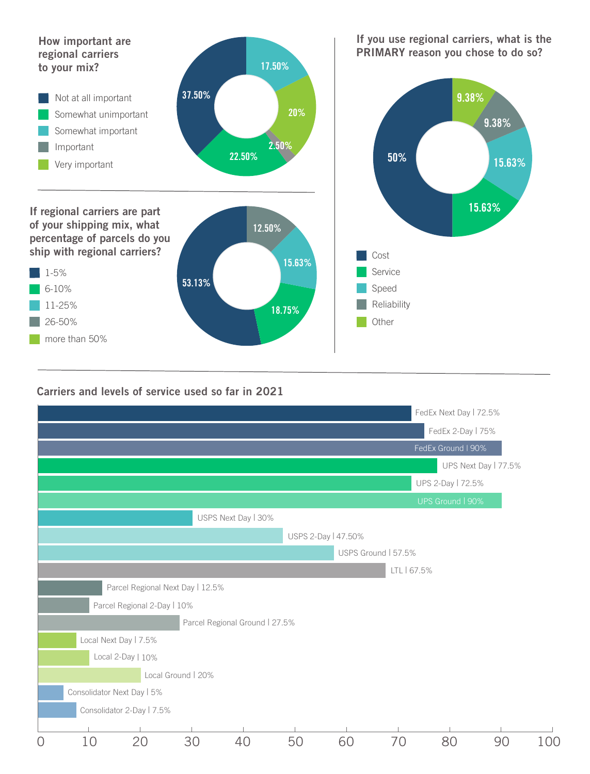

#### Carriers and levels of service used so far in 2021